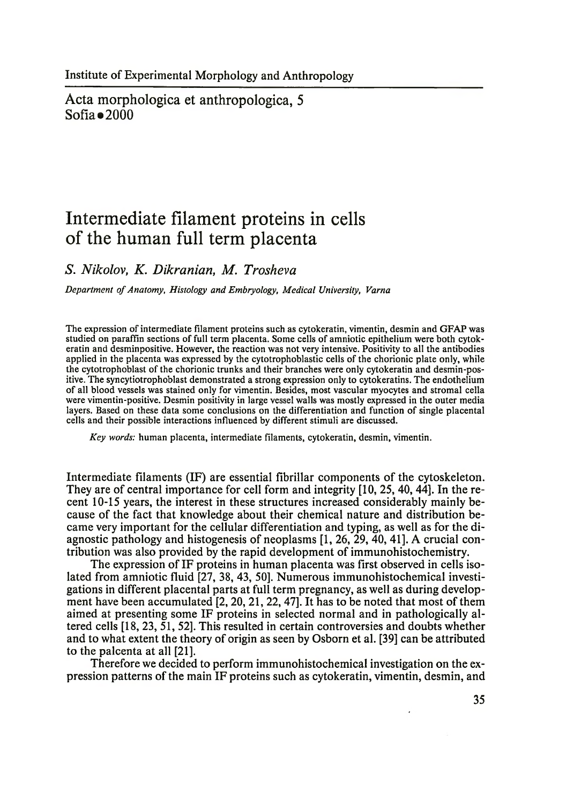Acta morphologica et anthropologica, 5  $Sofia$   $\bullet$  2000

# **Intermediate filament proteins in cells of the human full term placenta**

*S. Nikolov, K. Dikranian, M. Trosheva*

*Department of Anatomy, Histology and Embryology, Medical University, Varna*

The expression of intermediate filament proteins such as cytokeratin, vimentin, desmin and GFAP was studied on paraffin sections of full term placenta. Some cells of amniotic epithelium were both cytokeratin and desminpositive. However, the reaction was not very intensive. Positivity to all the antibodies applied in the placenta was expressed by the cytotrophoblastic cells of the chorionic plate only, while the cytotrophoblast of the chorionic trunks and their branches were only cytokeratin and desmin-positive. The syncytiotrophoblast demonstrated a strong expression only to cytokeratins. The endothelium of all blood vessels was stained only for vimentin. Besides, most vascular myocytes and stromal cella were vimentin-positive. Desmin positivity in large vessel walls was mostly expressed in the outer media layers. Based on these data some conclusions on the differentiation and function of single placental cells and their possible interactions influenced by different stimuli are discussed.

*Key words:* human placenta, intermediate filaments, cytokeratin, desmin, vimentin.

Intermediate filaments (IF) are essential fibrillar components of the cytoskeleton. They are of central importance for cell form and integrity [10, 25, 40, 44]. In the recent 10-15 years, the interest in these structures increased considerably mainly because of the fact that knowledge about their chemical nature and distribution became very important for the cellular differentiation and typing, as well as for the diagnostic pathology and histogenesis of neoplasms [1, 26, 29, 40, 41]. A crucial contribution was also provided by the rapid development of immunohistochemistry.

The expression of IF proteins in human placenta was first observed in cells isolated from amniotic fluid [27, 38, 43, 50]. Numerous immunohistochemical investigations in different placental parts at full term pregnancy, as well as during development have been accumulated [2, 20, 21, 22, 47]. It has to be noted that most of them aimed at presenting some IF proteins in selected normal and in pathologically altered cells [18, 23, 51, 52]. This resulted in certain controversies and doubts whether and to what extent the theory of origin as seen by Osborn et al. [39] can be attributed to the palcenta at all [21].

Therefore we decided to perform immunohistochemical investigation on the expression patterns of the main IF proteins such as cytokeratin, vimentin, desmin, and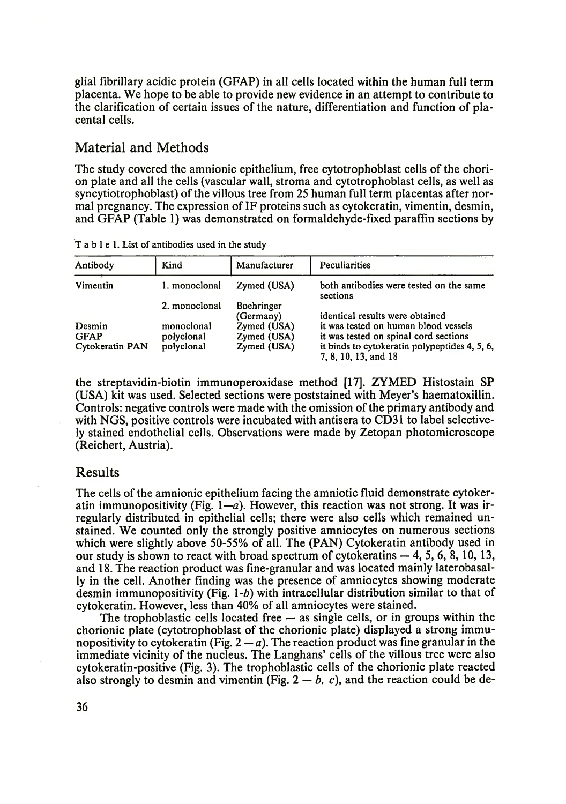glial fibrillary acidic protein (GFAP) in all cells located within the human full term placenta. We hope to be able to provide new evidence in an attempt to contribute to the clarification of certain issues of the nature, differentiation and function of placental cells.

### Material and Methods

The study covered the amnionic epithelium, free cytotrophoblast cells of the chorion plate and all the cells (vascular wall, stroma and cytotrophoblast cells, as well as syncytiotrophoblast) of the villous tree from 25 human full term placentas after normal pregnancy. The expression of IF proteins such as cytokeratin, vimentin, desmin, and GFAP (Table 1) was demonstrated on formaldehyde-fixed paraffin sections by

| Antibody        | Kind          | Manufacturer      | Peculiarities                                                         |  |
|-----------------|---------------|-------------------|-----------------------------------------------------------------------|--|
| Vimentin        | 1. monoclonal | Zymed (USA)       | both antibodies were tested on the same<br>sections                   |  |
|                 | 2. monoclonal | <b>Boehringer</b> |                                                                       |  |
|                 |               | (Germany)         | identical results were obtained                                       |  |
| Desmin          | monoclonal    | Zymed (USA)       | it was tested on human blood vessels                                  |  |
| <b>GFAP</b>     | polyclonal    | Zymed (USA)       | it was tested on spinal cord sections                                 |  |
| Cytokeratin PAN | polyclonal    | Zymed (USA)       | it binds to cytokeratin polypeptides 4, 5, 6,<br>7, 8, 10, 13, and 18 |  |

T a b l e 1. List of antibodies used in the study

the streptavidin-biotin immunoperoxidase method [17]. ZYMED Histostain SP (USA) kit was used. Selected sections were poststained with Meyer's haematoxillin. Controls: negative controls were made with the omission of the primary antibody and with NGS, positive controls were incubated with antisera to CD31 to label selectively stained endothelial cells. Observations were made by Zetopan photomicroscope (Reichert, Austria).

#### Results

The cells of the amnionic epithelium facing the amniotic fluid demonstrate cytokeratin immunopositivity (Fig.  $1-a$ ). However, this reaction was not strong. It was irregularly distributed in epithelial cells; there were also cells which remained unstained. We counted only the strongly positive amniocytes on numerous sections which were slightly above 50-55% of all. The (PAN) Cytokeratin antibody used in our study is shown to react with broad spectrum of cytokeratins  $-4$ , 5, 6, 8, 10, 13, and 18. The reaction product was fine-granular and was located mainly laterobasally in the cell. Another finding was the presence of amniocytes showing moderate desmin immunopositivity (Fig. 1 *-b)* with intracellular distribution similar to that of cytokeratin. However, less than 40% of all amniocytes were stained.

The trophoblastic cells located free — as single cells, or in groups within the chorionic plate (cytotrophoblast of the chorionic plate) displayed a strong immunopositivity to cytokeratin (Fig.  $2 - a$ ). The reaction product was fine granular in the immediate vicinity of the nucleus. The Langhans' cells of the villous tree were also cytokeratin-positive (Fig. 3). The trophoblastic cells of the chorionic plate reacted also strongly to desmin and vimentin (Fig.  $2 - b$ , c), and the reaction could be de-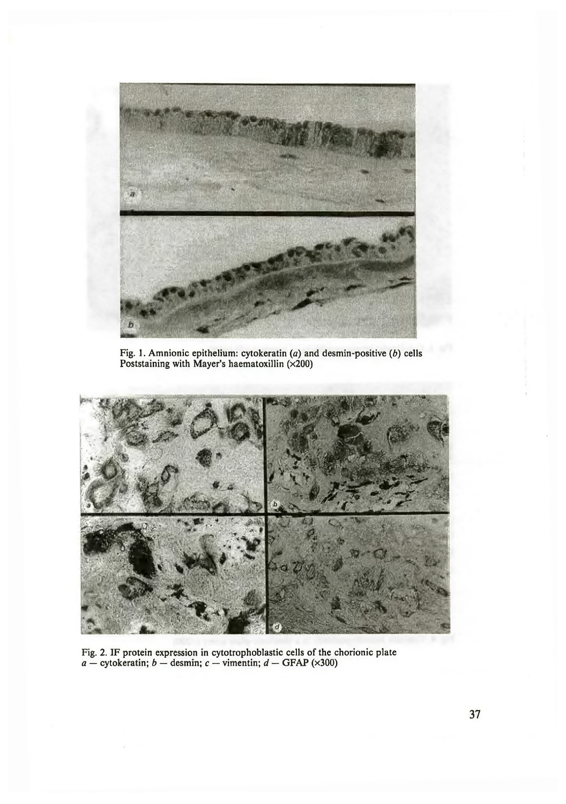

Fig. 1. Amnionic epithelium: cytokeratin *(a)* and desmin-positive (*b*) cells Poststaining with Mayer's haematoxillin (x200)



Fig. 2. IF protein expression in cytotrophoblastic cells of the chorionic plate *a —* cytokeratin; *b —* desmin; *c —* vimentin; *d —* GFAP (x300)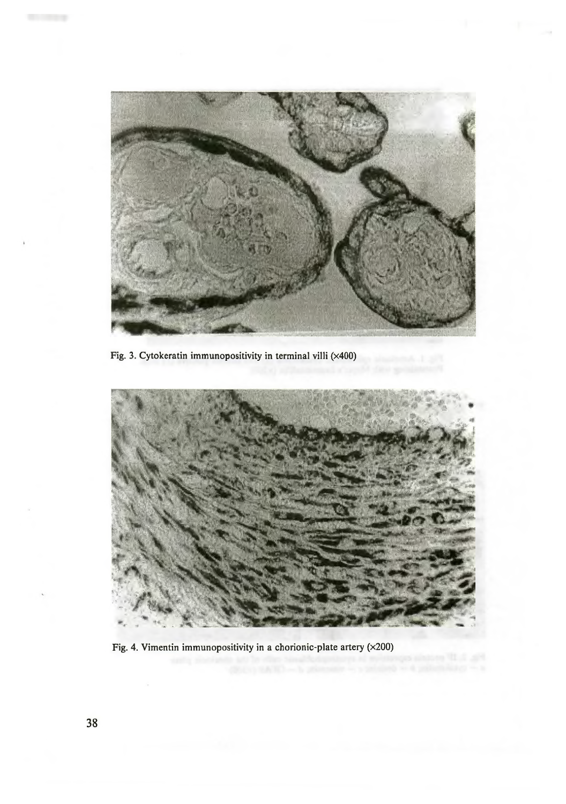

Fig. 3. Cytokeratin immunopositivity in terminal villi (x400)



Fig. 4. Vimentin immunopositivity in a chorionic-plate artery  $(x200)$ 

**COMPANY**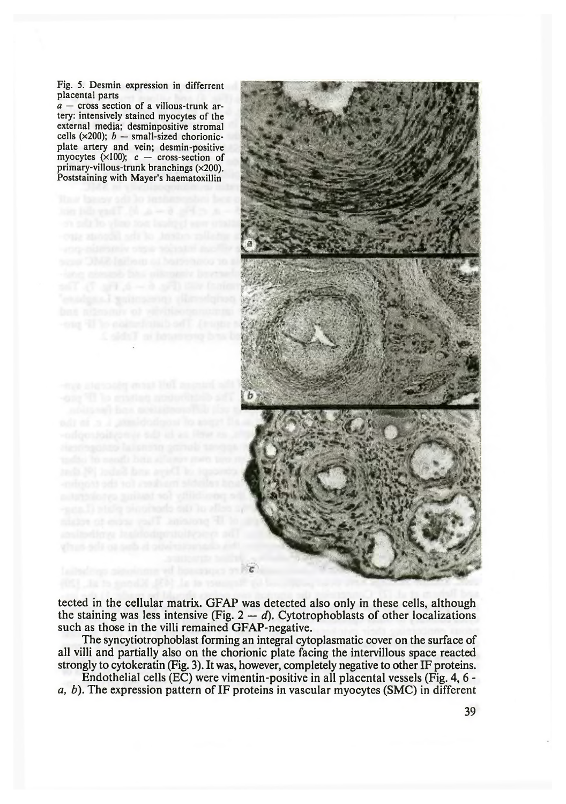Fig. 5. Desmin expression in differrent placental parts

*a —* cross section of a villous-trunk artery: intensively stained myocytes of the external media; desminpositive stromal cells ( $\times$ 200); *b* — small-sized chorionicplate artery and vein; desmin-positive myocytes ( $\times$ 100);  $c$  – cross-section of primary-villous-trunk branchings (x200). Poststaining with Mayer's haematoxillin



tected in the cellular matrix. GFAP was detected also only in these cells, although the staining was less intensive (Fig. 2 — *d).* Cytotrophoblasts of other localizations such as those in the villi remained GFAP-negative.

The syncytiotrophoblast forming an integral cytoplasmatic cover on the surface of all villi and partially also on the chorionic plate facing the intervillous space reacted strongly to cytokeratin (Fig. 3). It was, however, completely negative to other IF proteins.

Endothelial cells (EC) were vimentin-positive in all placental vessels (Fig. 4, 6 *a, b).* The expression pattern of IF proteins in vascular myocytes (SMC) in different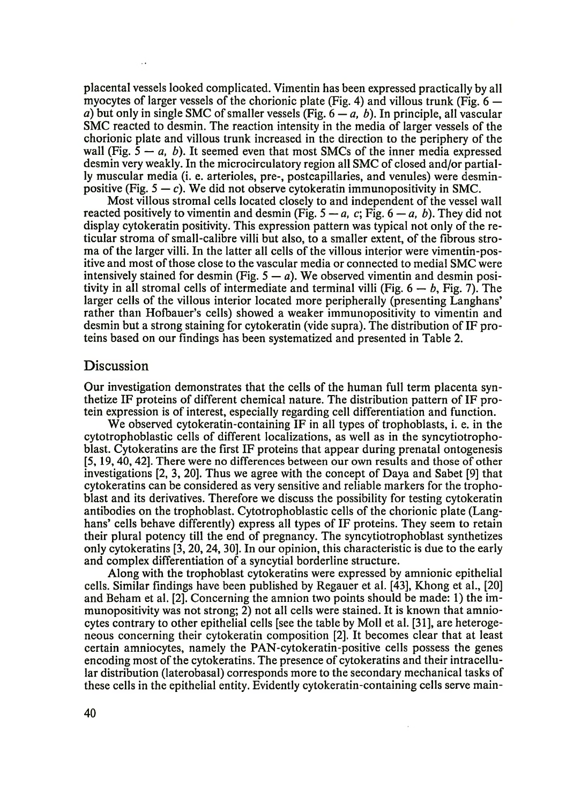placental vessels looked complicated. Vimentin has been expressed practically by all myocytes of larger vessels of the chorionic plate (Fig. 4) and villous trunk (Fig.  $6$ *a*) but only in single SMC of smaller vessels (Fig.  $6 - a$ , *b*). In principle, all vascular SMC reacted to desmin. The reaction intensity in the media of larger vessels of the chorionic plate and villous trunk increased in the direction to the periphery of the wall (Fig.  $5 - a$ , b). It seemed even that most SMCs of the inner media expressed desmin very weakly. In the microcirculatory region all SMC of closed and/or partially muscular media (i. e. arterioles, pre-, postcapillaries, and venules) were desminpositive (Fig.  $5 - c$ ). We did not observe cytokeratin immunopositivity in SMC.

Most villous stromal cells located closely to and independent of the vessel wall reacted positively to vimentin and desmin (Fig.  $5 - a$ , c; Fig.  $6 - a$ , b). They did not display cytokeratin positivity. This expression pattern was typical not only of the reticular stroma of small-calibre villi but also, to a smaller extent, of the Fibrous stroma of the larger villi. In the latter all cells of the villous interior were vimentin-positive and most of those close to the vascular media or connected to medial SMC were intensively stained for desmin  $(Fig. 5 - a)$ . We observed vimentin and desmin positivity in all stromal cells of intermediate and terminal villi (Fig.  $6 - b$ , Fig. 7). The larger cells of the villous interior located more peripherally (presenting Langhans' rather than Hofbauer's cells) showed a weaker immunopositivity to vimentin and desmin but a strong staining for cytokeratin (vide supra). The distribution of IF proteins based on our Findings has been systematized and presented in Table 2.

#### **Discussion**

Our investigation demonstrates that the cells of the human full term placenta synthetize IF proteins of different chemical nature. The distribution pattern of IF protein expression is of interest, especially regarding cell differentiation and function.

We observed cytokeratin-containing IF in all types of trophoblasts, i. e. in the cytotrophoblastic cells of different localizations, as well as in the syncytiotrophoblast. Cytokeratins are the First IF proteins that appear during prenatal ontogenesis [5, 19, 40, 42]. There were no differences between our own results and those of other investigations [2, 3, 20]. Thus we agree with the concept of Daya and Sabet [9] that cytokeratins can be considered as very sensitive and reliable markers for the trophoblast and its derivatives. Therefore we discuss the possibility for testing cytokeratin antibodies on the trophoblast. Cytotrophoblastic cells of the chorionic plate (Langhans' cells behave differently) express all types of IF proteins. They seem to retain their plural potency till the end of pregnancy. The syncytiotrophoblast synthetizes only cytokeratins [3,20, 24, 30]. In our opinion, this characteristic is due to the early and complex differentiation of a syncytial borderline structure.

Along with the trophoblast cytokeratins were expressed by amnionic epithelial cells. Similar Findings have been published by Regauer et al. [43], Khong et al., [20] and Beham et al. [2]. Concerning the amnion two points should be made: 1) the immunopositivity was not strong; 2) not all cells were stained. It is known that amniocytes contrary to other epithelial cells [see the table by Moll et al. [31], are heterogeneous concerning their cytokeratin composition [2]. It becomes clear that at least certain amniocytes, namely the PAN-cytokeratin-positive cells possess the genes encoding most of the cytokeratins. The presence of cytokeratins and their intracellular distribution (laterobasal) corresponds more to the secondary mechanical tasks of these cells in the epithelial entity. Evidently cytokeratin-containing cells serve main-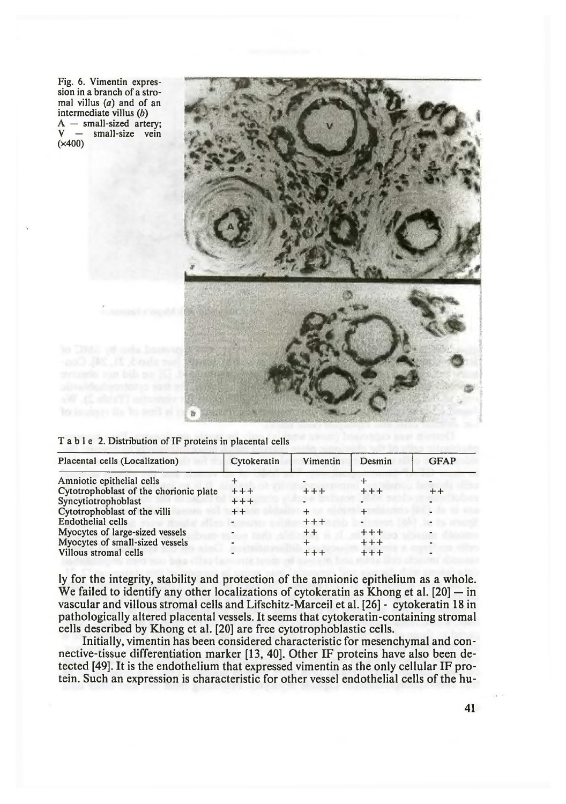Fig. 6. Vimentin expression in a branch of a stromal villus  $(a)$  and of an intermediate villus (6)  $A$  – small-sized artery;<br> $V$  – small-size vein small-size vein (x400)



Table 2. Distribution of IF proteins in placental cells

| Placental cells (Localization)         | Cytokeratin | Vimentin | Desmin  | <b>GFAP</b> |
|----------------------------------------|-------------|----------|---------|-------------|
| Amniotic epithelial cells              |             |          |         |             |
| Cytotrophoblast of the chorionic plate | $+ + +$     | $+ + +$  | $+ + +$ | $+ +$       |
| Syncytiotrophoblast                    | $++++$      |          |         |             |
| Cytotrophoblast of the villi           | $++$        | ┿        |         |             |
| Endothelial cells                      |             | $+ + +$  |         |             |
| Myocytes of large-sized vessels        |             | $+ +$    | $+ + +$ |             |
| Myocytes of small-sized vessels        |             |          | $+ + +$ |             |
| Villous stromal cells                  |             | $++++$   | $+ + +$ |             |

ly for the integrity, stability and protection of the amnionic epithelium as a whole. We failed to identify any other localizations of cytokeratin as Khong et al. [20] — in vascular and villous stromal cells and Lifschitz-Marceil et al. [26] - cytokeratin 18 in pathologically altered placental vessels. It seems that cytokeratin-containing stromal cells described by Khong et al. [20] are free cytotrophoblastic cells.

Initially, vimentin has been considered characteristic for mesenchymal and connective-tissue differentiation marker [13, 40]. Other IF proteins have also been detected [49]. It is the endothelium that expressed vimentin as the only cellular IF protein. Such an expression is characteristic for other vessel endothelial cells of the hu-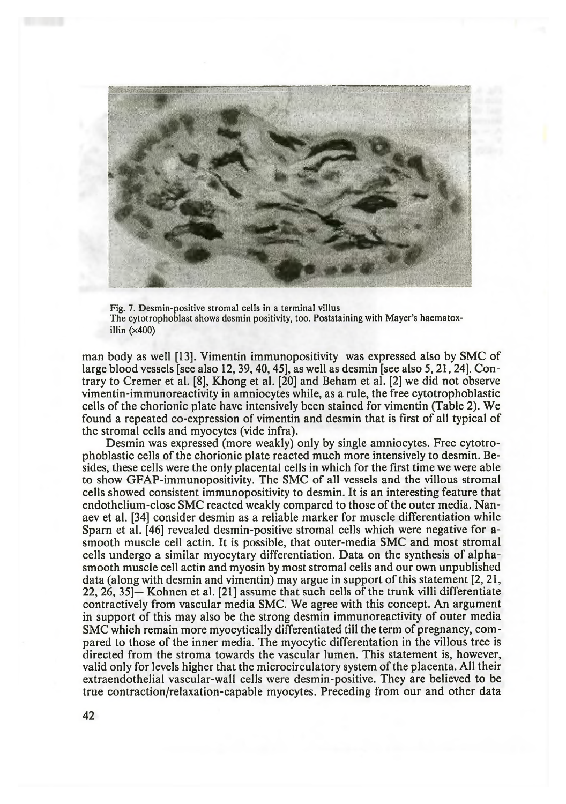

Fig. 7. Desmin-positive stromal cells in a terminal villus The cytotrophoblast shows desmin positivity, too. Poststaining with Mayer's haematoxillin  $(x400)$ 

man body as well [13]. Vimentin immunopositivity was expressed also by SMC of large blood vessels [see also 12, 39,40,45], as well as desmin [see also 5,21,24]. Contrary to Cremer et al. [8], Khong et al. [20] and Beham et al. [2] we did not observe vimentin-immunoreactivity in amniocytes while, as a rule, the free cytotrophoblastic cells of the chorionic plate have intensively been stained for vimentin (Table 2). We found a repeated co-expression of vimentin and desmin that is first of all typical of the stromal cells and myocytes (vide infra).

Desmin was expressed (more weakly) only by single amniocytes. Free cytotrophoblastic cells of the chorionic plate reacted much more intensively to desmin. Besides, these cells were the only placental cells in which for the first time we were able to show GFAP-immunopositivity. The SMC of all vessels and the villous stromal cells showed consistent immunopositivity to desmin. It is an interesting feature that endothelium-close SMC reacted weakly compared to those of the outer media. Nanaev et al. [34] consider desmin as a reliable marker for muscle differentiation while Sparn et al. [46] revealed desmin-positive stromal cells which were negative for asmooth muscle cell actin. It is possible, that outer-media SMC and most stromal cells undergo a similar myocytary differentiation. Data on the synthesis of alphasmooth muscle cell actin and myosin by most stromal cells and our own unpublished data (along with desmin and vimentin) may argue in support of this statement [2, 21, 22, 26, 35]— Kohnen et al. [21] assume that such cells of the trunk villi differentiate contractively from vascular media SMC. We agree with this concept. An argument in support of this may also be the strong desmin immunoreactivity of outer media SMC which remain more myocytically differentiated till the term of pregnancy, compared to those of the inner media. The myocytic differentation in the villous tree is directed from the stroma towards the vascular lumen. This statement is, however, valid only for levels higher that the microcirculatory system of the placenta. All their extraendothelial vascular-wall cells were desmin-positive. They are believed to be true contraction/relaxation-capable myocytes. Preceding from our and other data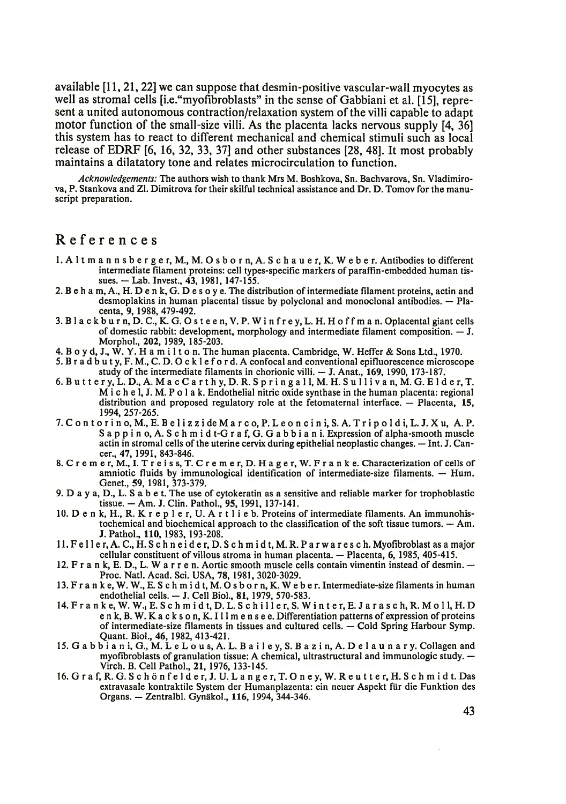available [11,21,22] we can suppose that desmin-positive vascular-wall myocytes as well as stromal cells [i.e."myofibroblasts" in the sense of Gabbiani et al. [15], represent a united autonomous contraction/relaxation system of the villi capable to adapt motor function of the small-size villi. As the placenta lacks nervous supply [4, 36] this system has to react to different mechanical and chemical stimuli such as local release of EDRF [6, 16, 32, 33, 37] and other substances [28, 48]. It most probably maintains a dilatatory tone and relates microcirculation to function.

*Acknowledgements:* The authors wish to thank Mrs M. Boshkova, Sn. Bachvarova, Sn. Vladimirova, P. Stankova and Zl. Dimitrova for their skilful technical assistance and Dr. D. Tomov for the manuscript preparation.

## References

- 1. A l t m a n n s b e r g e r, M., M. O s b o r n, A. S c h a u e r, K. W e b e r. Antibodies to different intermediate filament proteins: cell types-specific markers of paraffin-embedded human tissues. — Lab. Invest., 43, 1981, 147-155.
- 2. В e h a m, A., H. D e n k, G. D e s o y e. The distribution of intermediate filament proteins, actin and desmoplakins in human placental tissue by polyclonal and monoclonal antibodies. — Placenta, 9, 1988, 479-492.
- 3. В 1 a c k b u r n, D. C., K. G. O s t е е n, V. P. W i n f r e y, L. H. H o f f m a n. Oplacental giant cells of domestic rabbit: development, morphology and intermediate filament composition. — J. Morphol., 202, 1989, 185-203.
- 4. B o y d, J., W. Y. H a m i l t o n. The human placenta. Cambridge, W. Heffer & Sons Ltd., 1970.
- 5. B r a d b u t y, F. M., C. D. O c k 1 e f o r d. A confocal and conventional epifluorescence microscope study of the intermediate filaments in chorionic villi. — J. Anat., 169, 1990, 173-187.
- 6. B u 11 e r y, L. D., A. M a c C a r t h y, D. R. S p r i n g a 11, M. H. S u 11 i v a n, M. G. Е 1 d е r, T. M i c h e 1, J. M. P o 1 a k. Endothelial nitric oxide synthase in the human placenta: regional distribution and proposed regulatory role at the fetomaternal interface. — Placenta, 15, 1994, 257-265.
- 7. C o n t o r i n o, M., E. B e l i z z i de M a r c o, P. L e o n c i n i, S. A. T r i p o l d i, L. J. X u, A. P. S a p p i n o, A. S c h m i d t-G r a f, G. G a b b i a n i. Expression of alpha-smooth muscle actin in stromal cells of the uterine cervix during epithelial neoplastic changes. — Int. J. Cancer., 47, 1991, 843-846.
- 8. C r е m е r, M., I. T r e i s s, T. C r e m e r, D. H a g e r, W. F r a n k e. Characterization of cells of amniotic fluids by immunological identification of intermediate-size filaments. — Hum. Genet., 59, 1981, 373-379.
- 9. D a y a, D., L. S a b e t. The use of cytokeratin as a sensitive and reliable marker for trophoblastic tissue. - Am. J. Clin. Pathol., 95, 1991, 137-141.
- 10. D е n k, H., R. K r е p 1 e r, U. A r t 1 i e b. Proteins of intermediate filaments. An immunohistochemical and biochemical approach to the classification of the soft tissue tumors. — Am. J. Pathol., 110, 1983,193-208.
- 11. F е 11 е r, A. C., H. S c h n e i d e r, D. S c h m i d t, M. R. P a r w a r e s c h. Myofibroblast as a major cellular constituent of villous stroma in human placenta. — Placenta, 6, 1985, 405-415.
- 12. F r a n k, E. D., L. W a r r e n. Aortic smooth muscle cells contain vimentin instead of desmin. Proc. Natl. Acad. Sci. USA, 78, 1981, 3020-3029.
- 13. F r a n k e, W. W., E. S c h m i d t, M. O s b o r n, K. W e b e r. Intermediate-size filaments in human endothelial cells. -- J. Cell Biol., 81, 1979, 570-583.
- 14. F r a n k e, W. W., E. S c h m i d t, D. L. S c h i 11 e r, S. W i n t е r, E. J a r a s c h, R. M o 11, H. D е n k, B. W. K a c k s o n, K. 1 11 m e n s e e. Differentiation patterns of expression of proteins of intermediate-size filaments in tissues and cultured cells. — Cold Spring Harbour Symp. Quant. Biol., 46, 1982, 413-421.
- 15. G a b b i a n i, G., M. L e L o u s, A. L. B a i 1 e y, S. B a z i n, A. D е 1 a u n a r y. Collagen and myofibroblasts of granulation tissue: A chemical, ultrastructural and immunologic study. — Virch. B. Cell Pathol., 21, 1976, 133-145.
- 16. Graf, R. G. Schönfelder, J. U. Langer, T. Oney, W. Reutter, H. Schmidt. Das extravasale kontraktile System der Humanplazenta: ein neuer Aspekt fur die Funktion des Organs. — Zentralbl. Gynakol., 116, 1994, 344-346.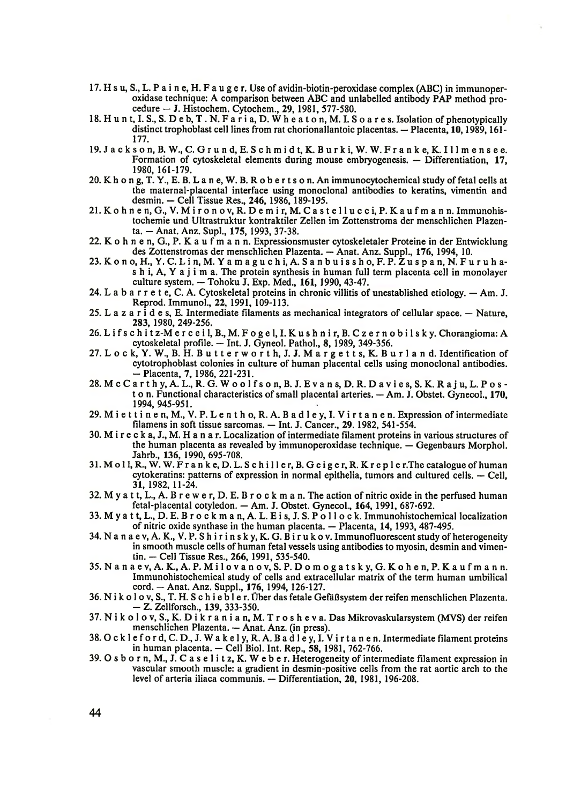- 17. H s u, S., L. P a i n е, H. F a u g e r. Use of avidin-biotin-peroxidase complex (ABC) in immunoperoxidase technique: A comparison between ABC and unlabelled antibody PAP method procedure — J. Histochem. Cytochem., 29, 1981, 577-580.
- 18. H u n t, I. S., S. D e b, T . N. F a r i a, D. W h e a t o n, M. I. S o a r e s. Isolation of phenotypically distinct trophoblast cell lines from rat chorionallantoic placentas. — Placenta, 10,1989,161- 177.
- 19. J a c k s o n, B. W., C. G r u n d, E. S c h m i d t, K. B u r k i, W. W. F r a n k е, K. 1 11 m e n s e e. Formation of cytoskeletal elements during mouse embryogenesis. — Differentiation, 17, 1980, 161-179.
- 20. K h o n g, T. Y., Е. B. L a n e, W. B. R o b e r t s o n. An immunocytochemical study of fetal cells at the maternal-placental interface using monoclonal antibodies to keratins, vimentin and desmin. — Cell Tissue Res., 246, 1986, 189-195.
- 21. K o h n e n, G., V. M i r o n o v, R. D e m i r, M. C a s t e l l u c c i, P. K a u f m a n n. Immunohistochemie und Ultrastruktur kontraktiler Zellen im Zottenstroma der menschlichen Plazenta. - Anat. Anz. Supl., 175, 1993, 37-38.
- 22. K o h n e n, G., P. K a u f m a n n. Expressionsmuster cytoskeletaler Proteine in der Entwicklung des Zottenstromas der menschlichen Plazenta. — Anat. Anz. Suppl., 176, 1994, 10.
- 23. K o n o, H., Y. C. L i n, M. Y a m a g u c h i, A. S a n b u i s s h o, F. P. Z u s p a n, N. F u r u h as h i, A, Y a j i m a. The protein synthesis in human full term placenta cell in monolayer culture system. — Tohoku J. Exp. Med., 161, 1990, 43-47.
- 24. L a b a r r e t е, C. A. Cytoskeletal proteins in chronic villitis of unestablished etiology. Am. J. Reprod. Immunol., 22, 1991, 109-113.
- 25. L a z a r  $\cdot$  d e s, E. Intermediate filaments as mechanical integrators of cellular space.  $-$  Nature, 283, 1980, 249-256.
- 26. L i f s c h i t z-M e r c e i l , В., M. F o g e l , I. K u s h n i r , B. C z e r n o b i l s k y . Chorangioma: A cytoskeletal profile. — Int. J. Gyneol. Pathol., 8, 1989, 349-356.
- 27. L o c k, Y. W., B. H. B u t t e r w o r t h, J. J. M a r g e t t s, K. B u r l a n d. Identification of cytotrophoblast colonies in culture of human placental cells using monoclonal antibodies. - Placenta, 7, 1986, 221-231.
- 28. M c C a r t h y, A. L., R. G. W o o 1 f s o n, B. J. E v a n s, D. R. D a v i e s, S. K. R a j u, L. P o s ton. Functional characteristics of small placental arteries. — Am. J. Obstet. Gynecol., 170, 1994, 945-951.
- 29. M i e t t i n e n, M., V. P. L e n t h o, R. A. B a d l e y, I. V i r t a n e n. Expression of intermediate filamens in soft tissue sarcomas. — Int. J. Cancer., 29. 1982, 541-554.
- 30. M i r e c k a, J., M. H a n a r. Localization of intermediate filament proteins in various structures of the human placenta as revealed by immunoperoxidase technique. — Gegenbaurs Morphol. Jahrb., 136, 1990, 695-708.
- 31. M o 11, R., W. W. F r a n k e, D. L. S c h i 11 е r, B. G e i g e r, R. K r е p 1 e r.The catalogue of human cytokeratins: patterns of expression in normal epithelia, tumors and cultured cells. — Cell, 31, 1982, 11-24.
- 32. M y a t t, L., A. B r e w e r, D. E. B r o c k m a n. The action of nitric oxide in the perfused human fetal-placental cotyledon. — Am. J. Obstet. Gynecol., 164, 1991, 687-692.
- 33. M y a t t, L., D. E. B r o c k m a n, A. L. E i s, J. S. P o 11 o c k. Immunohistochemical localization of nitric oxide synthase in the human placenta. — Placenta, 14, 1993, 487-495.
- 34. N a n a e v, A. K., V. P. S h i r i n s k у, K. G. B i r u k o v. Immunofluorescent study of heterogeneity in smooth muscle cells of human fetal vessels using antibodies to myosin, desmin and vimentin. - Cell Tissue Res., 266, 1991, 535-540.
- 35. N a n a e v, A. K., A. P. M i 1 o v a n o v, S. P. D o m o g a t s k y, G. K o h е n, P. K a u f m a n n. Immunohistochemical study of cells and extracellular matrix of the term human umbilical cord. - Anat. Anz. Suppl., 176, 1994, 126-127.
- 36. N i k o 1 o v, S., T. H. S c h i e b 1 e r. Uber das fetale GefaBsystem der reifen menschlichen Plazenta. - Z. Zellforsch., 139, 333-350.
- 37. N i k o 1 o v, S., K. D i k r a n i a n, M. T r o s h e v a. Das Mikrovaskularsystem (MVS) der reifen menschlichen Plazenta. — Anat. Anz. (in press).
- 38.0 c k 1 e f o r d, C. D., J. W a k е 1 y, R. A. B a d 1 е у, I. V i r t a n e n. Intermediate filament proteins in human placenta. — Cell Biol. Int. Rep., 58, 1981, 762-766.
- 39. O s b o r n, M., J. C a s е 1 i t z, K. W e b e r. Heterogeneity of intermediate filament expression in vascular smooth muscle: a gradient in desmin-positive cells from the rat aortic arch to the level of arteria iliaca communis. — Differentiation, 20, 1981, 196-208.